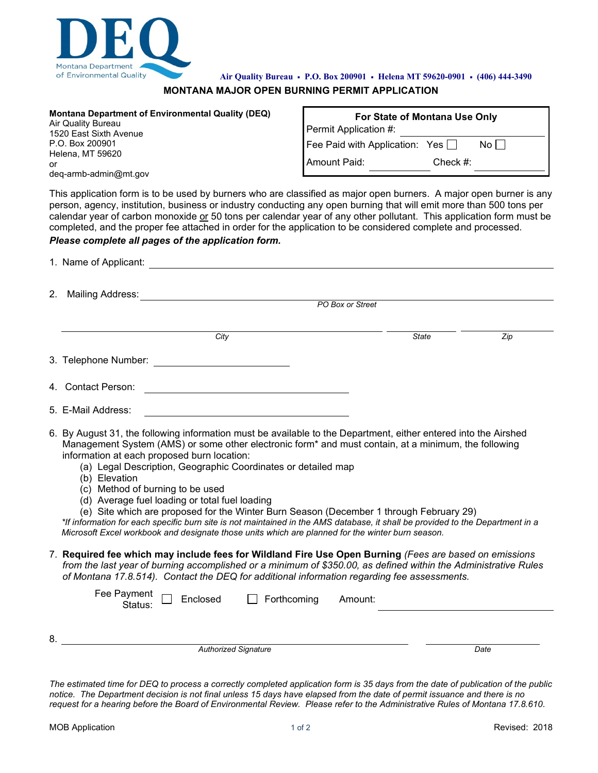

 **Air Quality Bureau P.O. Box 200901 Helena MT 59620-0901 (406) 444-3490**

*City State Zip*

## **MONTANA MAJOR OPEN BURNING PERMIT APPLICATION**

| <b>Montana Department of Environmental Quality (DEQ)</b><br>Air Quality Bureau<br>1520 East Sixth Avenue<br>P.O. Box 200901<br>Helena, MT 59620<br>or<br>deq-armb-admin@mt.gov                                                                                                                                                                                                                                                                                                                                                          | For State of Montana Use Only<br>Permit Application #:<br>Fee Paid with Application: Yes<br>$No$    <br>Check $#$ :<br>Amount Paid: |  |  |  |  |
|-----------------------------------------------------------------------------------------------------------------------------------------------------------------------------------------------------------------------------------------------------------------------------------------------------------------------------------------------------------------------------------------------------------------------------------------------------------------------------------------------------------------------------------------|-------------------------------------------------------------------------------------------------------------------------------------|--|--|--|--|
| This application form is to be used by burners who are classified as major open burners. A major open burner is any<br>person, agency, institution, business or industry conducting any open burning that will emit more than 500 tons per<br>calendar year of carbon monoxide or 50 tons per calendar year of any other pollutant. This application form must be<br>completed, and the proper fee attached in order for the application to be considered complete and processed.<br>Please complete all pages of the application form. |                                                                                                                                     |  |  |  |  |
| 1. Name of Applicant:                                                                                                                                                                                                                                                                                                                                                                                                                                                                                                                   |                                                                                                                                     |  |  |  |  |
| 2.<br>Mailing Address:                                                                                                                                                                                                                                                                                                                                                                                                                                                                                                                  |                                                                                                                                     |  |  |  |  |
|                                                                                                                                                                                                                                                                                                                                                                                                                                                                                                                                         | PO Box or Street                                                                                                                    |  |  |  |  |

6. By August 31, the following information must be available to the Department, either entered into the Airshed Management System (AMS) or some other electronic form\* and must contain, at a minimum, the following information at each proposed burn location:

- (a) Legal Description, Geographic Coordinates or detailed map
- (b) Elevation

3. Telephone Number:

4. Contact Person:

5. E-Mail Address:

- (c) Method of burning to be used
- (d) Average fuel loading or total fuel loading
- (e) Site which are proposed for the Winter Burn Season (December 1 through February 29)

*\*If information for each specific burn site is not maintained in the AMS database, it shall be provided to the Department in a Microsoft Excel workbook and designate those units which are planned for the winter burn season.*

7. **Required fee which may include fees for Wildland Fire Use Open Burning** *(Fees are based on emissions from the last year of burning accomplished or a minimum of \$350.00, as defined within the Administrative Rules of Montana 17.8.514). Contact the DEQ for additional information regarding fee assessments.*

|    | Fee Payment<br>Status: Enclosed | $\Box$ Forthcoming | Amount: |      |
|----|---------------------------------|--------------------|---------|------|
| 8. |                                 |                    |         |      |
|    | <b>Authorized Signature</b>     |                    |         | Date |

*The estimated time for DEQ to process a correctly completed application form is 35 days from the date of publication of the public notice. The Department decision is not final unless 15 days have elapsed from the date of permit issuance and there is no request for a hearing before the Board of Environmental Review. Please refer to the Administrative Rules of Montana 17.8.610*.